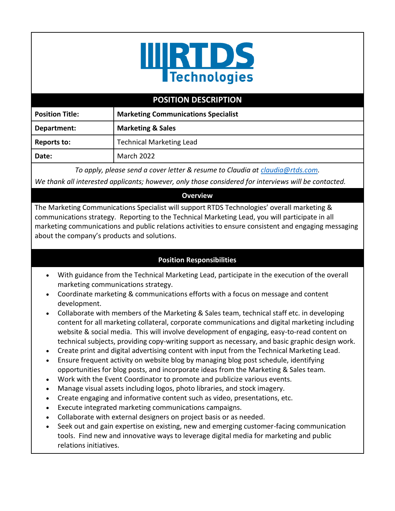

## **POSITION DESCRIPTION**

| <b>Position Title:</b> | <b>Marketing Communications Specialist</b> |
|------------------------|--------------------------------------------|
| Department:            | <b>Marketing &amp; Sales</b>               |
| Reports to:            | <b>Technical Marketing Lead</b>            |
| Date:                  | March 2022                                 |

*To apply, please send a cover letter & resume to Claudia at [claudia@rtds.com.](mailto:claudia@rtds.com)*

*We thank all interested applicants; however, only those considered for interviews will be contacted.*

## **Overview**

The Marketing Communications Specialist will support RTDS Technologies' overall marketing & communications strategy. Reporting to the Technical Marketing Lead, you will participate in all marketing communications and public relations activities to ensure consistent and engaging messaging about the company's products and solutions.

## **Position Responsibilities**

- With guidance from the Technical Marketing Lead, participate in the execution of the overall marketing communications strategy.
- Coordinate marketing & communications efforts with a focus on message and content development.
- Collaborate with members of the Marketing & Sales team, technical staff etc. in developing content for all marketing collateral, corporate communications and digital marketing including website & social media. This will involve development of engaging, easy-to-read content on technical subjects, providing copy-writing support as necessary, and basic graphic design work.
- Create print and digital advertising content with input from the Technical Marketing Lead.
- Ensure frequent activity on website blog by managing blog post schedule, identifying opportunities for blog posts, and incorporate ideas from the Marketing & Sales team.
- Work with the Event Coordinator to promote and publicize various events.
- Manage visual assets including logos, photo libraries, and stock imagery.
- Create engaging and informative content such as video, presentations, etc.
- Execute integrated marketing communications campaigns.
- Collaborate with external designers on project basis or as needed.
- Seek out and gain expertise on existing, new and emerging customer-facing communication tools. Find new and innovative ways to leverage digital media for marketing and public relations initiatives.